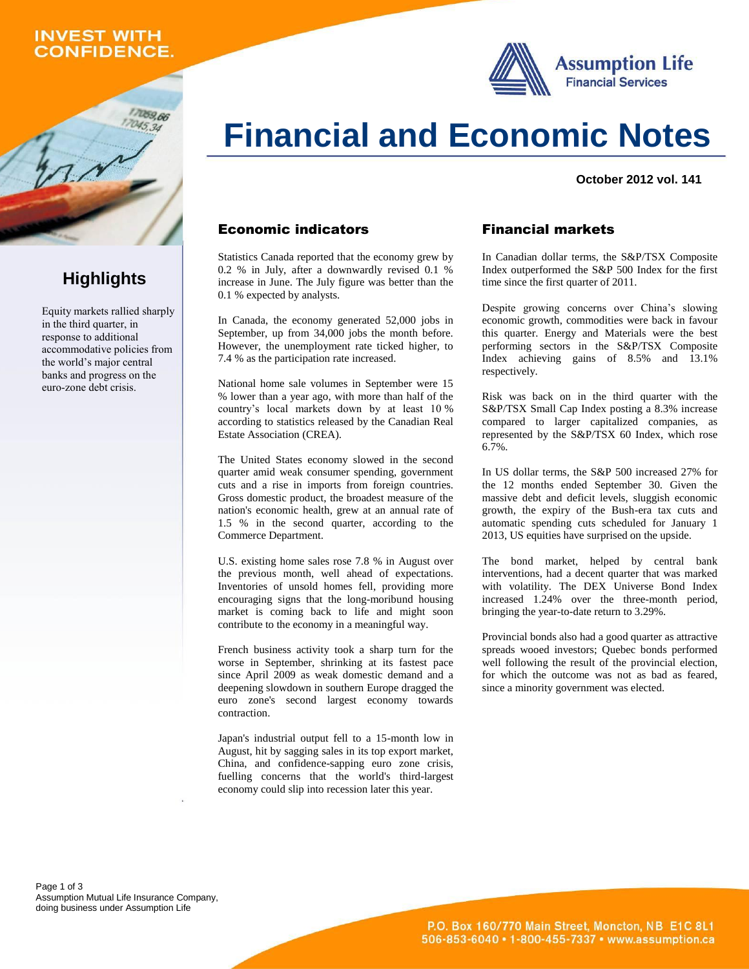## **INVEST WITH ONFIDENCE.**

059.66

**Highlights**

Equity markets rallied sharply in the third quarter, in response to additional accommodative policies from the world's major central banks and progress on the euro-zone debt crisis.





#### **October 2012 vol. 141**

### Economic indicators

Statistics Canada reported that the economy grew by 0.2 % in July, after a downwardly revised 0.1 % increase in June. The July figure was better than the 0.1 % expected by analysts.

In Canada, the economy generated 52,000 jobs in September, up from 34,000 jobs the month before. However, the unemployment rate ticked higher, to 7.4 % as the participation rate increased.

National home sale volumes in September were 15 % lower than a year ago, with more than half of the country's local markets down by at least 10 % according to statistics released by the Canadian Real Estate Association (CREA).

The United States economy slowed in the second quarter amid weak consumer spending, government cuts and a rise in imports from foreign countries. Gross domestic product, the broadest measure of the nation's economic health, grew at an annual rate of 1.5 % in the second quarter, according to the Commerce Department.

U.S. existing home sales rose 7.8 % in August over the previous month, well ahead of expectations. Inventories of unsold homes fell, providing more encouraging signs that the long-moribund housing market is coming back to life and might soon contribute to the economy in a meaningful way.

French business activity took a sharp turn for the worse in September, shrinking at its fastest pace since April 2009 as weak domestic demand and a deepening slowdown in southern Europe dragged the euro zone's second largest economy towards contraction.

Japan's industrial output fell to a 15-month low in August, hit by sagging sales in its top export market, China, and confidence-sapping euro zone crisis, fuelling concerns that the world's third-largest economy could slip into recession later this year.

## Financial markets

In Canadian dollar terms, the S&P/TSX Composite Index outperformed the S&P 500 Index for the first time since the first quarter of 2011.

Despite growing concerns over China's slowing economic growth, commodities were back in favour this quarter. Energy and Materials were the best performing sectors in the S&P/TSX Composite Index achieving gains of 8.5% and 13.1% respectively.

Risk was back on in the third quarter with the S&P/TSX Small Cap Index posting a 8.3% increase compared to larger capitalized companies, as represented by the S&P/TSX 60 Index, which rose  $6.7\%$ .

In US dollar terms, the S&P 500 increased 27% for the 12 months ended September 30. Given the massive debt and deficit levels, sluggish economic growth, the expiry of the Bush-era tax cuts and automatic spending cuts scheduled for January 1 2013, US equities have surprised on the upside.

The bond market, helped by central bank interventions, had a decent quarter that was marked with volatility. The DEX Universe Bond Index increased 1.24% over the three-month period, bringing the year-to-date return to 3.29%.

Provincial bonds also had a good quarter as attractive spreads wooed investors; Quebec bonds performed well following the result of the provincial election, for which the outcome was not as bad as feared, since a minority government was elected.

Page 1 of 3 Assumption Mutual Life Insurance Company, doing business under Assumption Life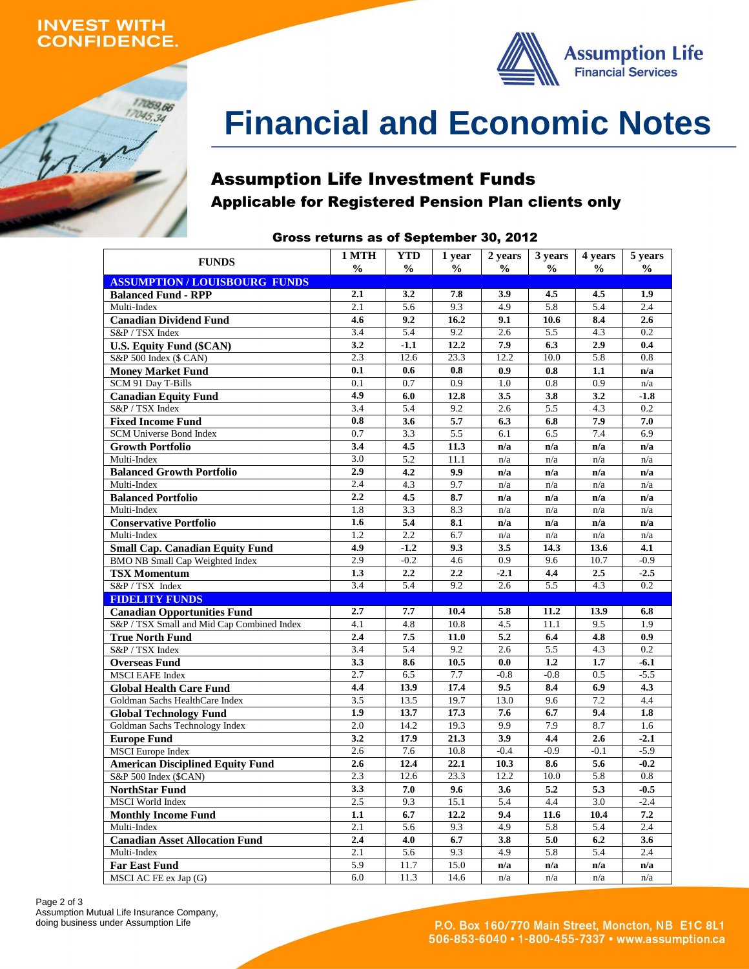## **INVEST WITH ONFIDENCE.**

17059,66  $17045,34$ 



# **Financial and Economic Notes**

## Assumption Life Investment Funds Applicable for Registered Pension Plan clients only

### Gross returns as of September 30, 2012

| <b>FUNDS</b>                                   | 1 MTH            | <b>YTD</b>    | 1 year        | 2 years       | 3 years       | 4 years       | 5 years                    |
|------------------------------------------------|------------------|---------------|---------------|---------------|---------------|---------------|----------------------------|
|                                                | $\frac{0}{0}$    | $\frac{0}{0}$ | $\frac{6}{9}$ | $\frac{0}{0}$ | $\frac{6}{9}$ | $\frac{6}{9}$ | $\frac{6}{9}$              |
| <b>ASSUMPTION/LOUISBOURG FUNDS</b>             |                  |               |               |               |               |               |                            |
| <b>Balanced Fund - RPP</b>                     | 2.1              | 3.2           | 7.8           | 3.9           | 4.5           | 4.5           | 1.9                        |
| Multi-Index                                    | 2.1              | 5.6           | 9.3           | 4.9           | 5.8           | 5.4           | 2.4                        |
| <b>Canadian Dividend Fund</b>                  | 4.6              | 9.2           | 16.2          | 9.1           | 10.6          | 8.4           | 2.6                        |
| S&P / TSX Index                                | 3.4<br>3.2       | 5.4<br>$-1.1$ | 9.2<br>12.2   | 2.6<br>7.9    | 5.5<br>6.3    | 4.3<br>2.9    | 0.2<br>0.4                 |
| <b>U.S. Equity Fund (\$CAN)</b>                | 2.3              | 12.6          | 23.3          | 12.2          | 10.0          | 5.8           | 0.8                        |
| S&P 500 Index (\$ CAN)                         | 0.1              | 0.6           | 0.8           | 0.9           | 0.8           | 1.1           |                            |
| <b>Money Market Fund</b>                       | 0.1              | 0.7           | 0.9           | 1.0           | 0.8           | 0.9           | n/a                        |
| SCM 91 Day T-Bills                             | 4.9              |               |               |               |               |               | n/a                        |
| <b>Canadian Equity Fund</b><br>S&P / TSX Index | 3.4              | 6.0<br>5.4    | 12.8<br>9.2   | 3.5<br>2.6    | 3.8<br>5.5    | 3.2<br>4.3    | $-1.8$<br>$\overline{0.2}$ |
|                                                | 0.8              | 3.6           | 5.7           | 6.3           | 6.8           | 7.9           | 7.0                        |
| <b>Fixed Income Fund</b>                       | 0.7              |               |               | 6.1           | 6.5           | 7.4           | 6.9                        |
| SCM Universe Bond Index                        | 3.4              | 3.3<br>4.5    | 5.5<br>11.3   | n/a           | n/a           | n/a           | n/a                        |
| <b>Growth Portfolio</b><br>Multi-Index         | 3.0              | 5.2           | 11.1          | n/a           | n/a           | n/a           | n/a                        |
| <b>Balanced Growth Portfolio</b>               | 2.9              | 4.2           | 9.9           | n/a           | n/a           | n/a           | n/a                        |
| Multi-Index                                    | 2.4              | 4.3           | 9.7           | n/a           | n/a           | n/a           | n/a                        |
| <b>Balanced Portfolio</b>                      | 2.2              | 4.5           | 8.7           | n/a           | n/a           | n/a           | n/a                        |
| Multi-Index                                    | 1.8              | 3.3           | 8.3           | n/a           | n/a           | n/a           | n/a                        |
| <b>Conservative Portfolio</b>                  | 1.6              | 5.4           | 8.1           | n/a           | n/a           | n/a           | n/a                        |
| Multi-Index                                    | 1.2              | 2.2           | 6.7           | n/a           | n/a           | n/a           | n/a                        |
| <b>Small Cap. Canadian Equity Fund</b>         | 4.9              | $-1.2$        | 9.3           | 3.5           | 14.3          | 13.6          | 4.1                        |
| <b>BMO NB Small Cap Weighted Index</b>         | 2.9              | $-0.2$        | 4.6           | 0.9           | 9.6           | 10.7          | $-0.9$                     |
| <b>TSX Momentum</b>                            | 1.3              | 2.2           | 2.2           | $-2.1$        | 4.4           | 2.5           | $-2.5$                     |
| S&P / TSX Index                                | 3.4              | 5.4           | 9.2           | 2.6           | 5.5           | 4.3           | 0.2                        |
| <b>FIDELITY FUNDS</b>                          |                  |               |               |               |               |               |                            |
| <b>Canadian Opportunities Fund</b>             | 2.7              | 7.7           | 10.4          | 5.8           | 11.2          | 13.9          | 6.8                        |
| S&P / TSX Small and Mid Cap Combined Index     | 4.1              | 4.8           | 10.8          | 4.5           | 11.1          | 9.5           | 1.9                        |
| <b>True North Fund</b>                         | 2.4              | 7.5           | 11.0          | 5.2           | 6.4           | 4.8           | 0.9                        |
| S&P / TSX Index                                | 3.4              | 5.4           | 9.2           | 2.6           | 5.5           | 4.3           | 0.2                        |
| <b>Overseas Fund</b>                           | 3.3              | 8.6           | 10.5          | 0.0           | 1.2           | 1.7           | $-6.1$                     |
| <b>MSCI EAFE Index</b>                         | 2.7              | 6.5           | 7.7           | $-0.8$        | $-0.8$        | 0.5           | $-5.5$                     |
| <b>Global Health Care Fund</b>                 | 4.4              | 13.9          | 17.4          | 9.5           | 8.4           | 6.9           | 4.3                        |
| Goldman Sachs HealthCare Index                 | 3.5              | 13.5          | 19.7          | 13.0          | 9.6           | 7.2           | 4.4                        |
| <b>Global Technology Fund</b>                  | 1.9              | 13.7          | 17.3          | 7.6           | 6.7           | 9.4           | 1.8                        |
| Goldman Sachs Technology Index                 | 2.0              | 14.2          | 19.3          | 9.9           | 7.9           | 8.7           | 1.6                        |
| <b>Europe Fund</b>                             | 3.2              | 17.9          | 21.3          | 3.9           | 4.4           | 2.6           | $-2.1$                     |
| <b>MSCI</b> Europe Index                       | 2.6              | 7.6           | 10.8          | $-0.4$        | $-0.9$        | $-0.1$        | $-5.9$                     |
| <b>American Disciplined Equity Fund</b>        | 2.6              | 12.4          | 22.1          | 10.3          | 8.6           | 5.6           | $-0.2$                     |
| S&P 500 Index (\$CAN)                          | $\overline{2.3}$ | 12.6          | 23.3          | 12.2          | 10.0          | 5.8           | 0.8                        |
| <b>NorthStar Fund</b>                          | 3.3              | 7.0           | 9.6           | 3.6           | 5.2           | 5.3           | $-0.5$                     |
| <b>MSCI</b> World Index                        | 2.5              | 9.3           | 15.1          | 5.4           | 4.4           | 3.0           | $-2.4$                     |
| <b>Monthly Income Fund</b>                     | 1.1              | 6.7           | 12.2          | 9.4           | 11.6          | 10.4          | 7.2                        |
| Multi-Index                                    | 2.1              | 5.6           | 9.3           | 4.9           | 5.8           | 5.4           | 2.4                        |
| <b>Canadian Asset Allocation Fund</b>          | 2.4              | 4.0           | 6.7           | 3.8           | 5.0           | 6.2           | 3.6                        |
| Multi-Index                                    | 2.1              | 5.6           | 9.3           | 4.9           | 5.8           | 5.4           | 2.4                        |
| <b>Far East Fund</b>                           | 5.9              | 11.7          | 15.0          | n/a           | n/a           | n/a           | n/a                        |
| MSCI AC FE ex Jap (G)                          | 6.0              | 11.3          | 14.6          | n/a           | n/a           | n/a           | n/a                        |